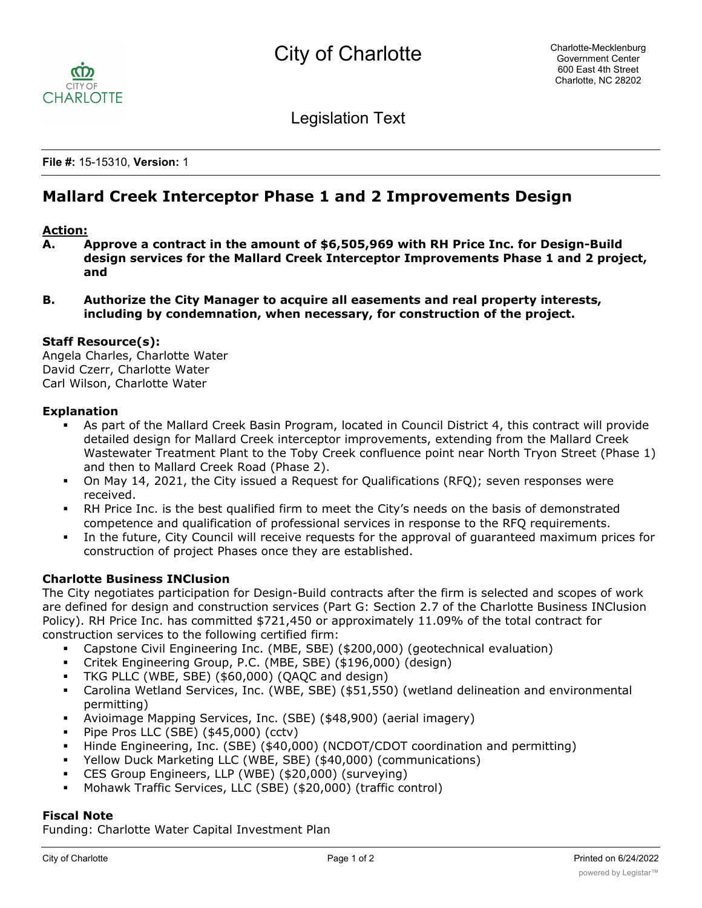

Legislation Text

**File #:** 15-15310, **Version:** 1

# **Mallard Creek Interceptor Phase 1 and 2 Improvements Design**

# **Action:**

- **A. Approve a contract in the amount of \$6,505,969 with RH Price Inc. for Design-Build design services for the Mallard Creek Interceptor Improvements Phase 1 and 2 project, and**
- **B. Authorize the City Manager to acquire all easements and real property interests, including by condemnation, when necessary, for construction of the project.**

### **Staff Resource(s):**

Angela Charles, Charlotte Water David Czerr, Charlotte Water Carl Wilson, Charlotte Water

#### **Explanation**

- § As part of the Mallard Creek Basin Program, located in Council District 4, this contract will provide detailed design for Mallard Creek interceptor improvements, extending from the Mallard Creek Wastewater Treatment Plant to the Toby Creek confluence point near North Tryon Street (Phase 1) and then to Mallard Creek Road (Phase 2).
- On May 14, 2021, the City issued a Request for Qualifications (RFQ); seven responses were received.
- § RH Price Inc. is the best qualified firm to meet the City's needs on the basis of demonstrated competence and qualification of professional services in response to the RFQ requirements.
- In the future, City Council will receive requests for the approval of quaranteed maximum prices for construction of project Phases once they are established.

# **Charlotte Business INClusion**

The City negotiates participation for Design-Build contracts after the firm is selected and scopes of work are defined for design and construction services (Part G: Section 2.7 of the Charlotte Business INClusion Policy). RH Price Inc. has committed \$721,450 or approximately 11.09% of the total contract for construction services to the following certified firm:

- § Capstone Civil Engineering Inc. (MBE, SBE) (\$200,000) (geotechnical evaluation)
- § Critek Engineering Group, P.C. (MBE, SBE) (\$196,000) (design)
- § TKG PLLC (WBE, SBE) (\$60,000) (QAQC and design)
- § Carolina Wetland Services, Inc. (WBE, SBE) (\$51,550) (wetland delineation and environmental permitting)
- § Avioimage Mapping Services, Inc. (SBE) (\$48,900) (aerial imagery)
- § Pipe Pros LLC (SBE) (\$45,000) (cctv)
- § Hinde Engineering, Inc. (SBE) (\$40,000) (NCDOT/CDOT coordination and permitting)
- § Yellow Duck Marketing LLC (WBE, SBE) (\$40,000) (communications)
- § CES Group Engineers, LLP (WBE) (\$20,000) (surveying)
- § Mohawk Traffic Services, LLC (SBE) (\$20,000) (traffic control)

# **Fiscal Note**

Funding: Charlotte Water Capital Investment Plan